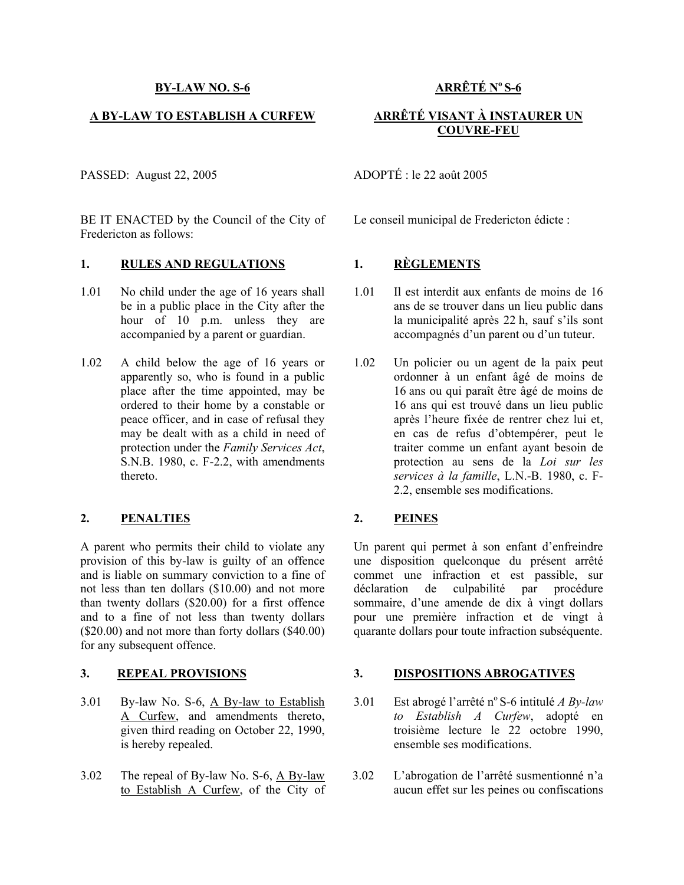### **A BY-LAW TO ESTABLISH A CURFEW**

PASSED: August 22, 2005 ADOPTÉ : le 22 août 2005

BE IT ENACTED by the Council of the City of Fredericton as follows:

# **1. RULES AND REGULATIONS 1. RÈGLEMENTS**

- 1.01 No child under the age of 16 years shall be in a public place in the City after the hour of 10 p.m. unless they are accompanied by a parent or guardian.
- 1.02 A child below the age of 16 years or apparently so, who is found in a public place after the time appointed, may be ordered to their home by a constable or peace officer, and in case of refusal they may be dealt with as a child in need of protection under the *Family Services Act*, S.N.B. 1980, c. F-2.2, with amendments thereto.

## **2. PENALTIES 2. PEINES**

A parent who permits their child to violate any provision of this by-law is guilty of an offence and is liable on summary conviction to a fine of not less than ten dollars (\$10.00) and not more than twenty dollars (\$20.00) for a first offence and to a fine of not less than twenty dollars (\$20.00) and not more than forty dollars (\$40.00) for any subsequent offence.

## **3. REPEAL PROVISIONS**

- 3.01 By-law No. S-6, A By-law to Establish A Curfew, and amendments thereto, given third reading on October 22, 1990, is hereby repealed.
- 3.02 The repeal of By-law No. S-6, A By-law to Establish A Curfew, of the City of

# **ARRÊTÉ No S-6**

## **ARRÊTÉ VISANT À INSTAURER UN COUVRE-FEU**

Le conseil municipal de Fredericton édicte :

- 1.01 Il est interdit aux enfants de moins de 16 ans de se trouver dans un lieu public dans la municipalité après 22 h, sauf s'ils sont accompagnés d'un parent ou d'un tuteur.
- 1.02 Un policier ou un agent de la paix peut ordonner à un enfant âgé de moins de 16 ans ou qui paraît être âgé de moins de 16 ans qui est trouvé dans un lieu public après l'heure fixée de rentrer chez lui et, en cas de refus d'obtempérer, peut le traiter comme un enfant ayant besoin de protection au sens de la *Loi sur les services à la famille*, L.N.-B. 1980, c. F-2.2, ensemble ses modifications.

 Un parent qui permet à son enfant d'enfreindre une disposition quelconque du présent arrêté commet une infraction et est passible, sur déclaration de culpabilité par procédure sommaire, d'une amende de dix à vingt dollars pour une première infraction et de vingt à quarante dollars pour toute infraction subséquente.

## **3. DISPOSITIONS ABROGATIVES**

- 3.01 Est abrogé l'arrêté no S-6 intitulé *A By-law to Establish A Curfew*, adopté en troisième lecture le 22 octobre 1990, ensemble ses modifications.
- 3.02 L'abrogation de l'arrêté susmentionné n'a aucun effet sur les peines ou confiscations